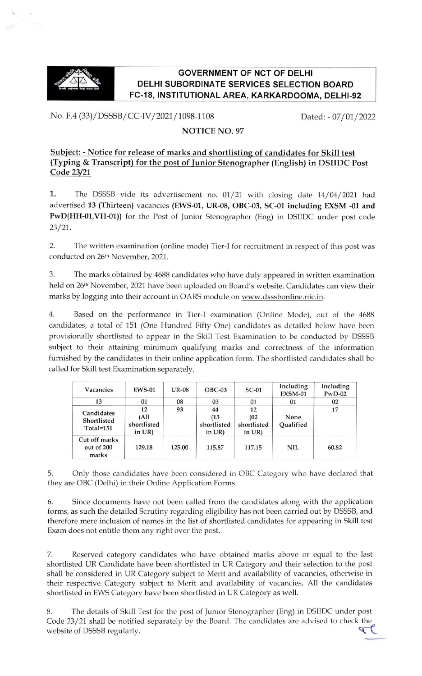

## **GOVERNMENT OF NCT OF DELHI** DELHI SUBORDINATE SERVICES SELECTION BOARD FC-18, INSTITUTIONAL AREA, KARKARDOOMA, DELHI-92

No. F.4 (33)/DSSSB/CC-IV/2021/1098-1108 Dated: - 07/01/2022

## NOTICE NO. 97

## Subject: - Notice for release of marks and shortlisting of candidates for Skill test (Typing & Transcript) for the post of Junior Stenographer (English) in DSIIDC Post Code 23/21

1. The DSSSB vide its advertisement no. 01/21 with closing date 14/04/2021 had advertised 13 (Thirteen) vacancies (EWS-01, UR-08, OBC-03, SC-01 including EXSM -01 and PwD(HH-01,VH-01)) for the Post of Junior Stenographer (Eng) in DSIIDC under post code 23/21.

2. The written examination (online mode) Tier-I for recruitment in respect of this post was conducted on 26th November, 2021.

3. The marks obtained by 4688 candidates who have duly appeared in written examination held on 26th November, 2021 have been uploaded on Board's website. Candidates can view their marks by logging into their account in OARS module on www.dsssbonline.nic.in.

4. Based on the performance in Tier-I examination (Online Mode), out of the 4688 candidates, a total of 151 (One Hundred Fifty One) candidates as detailed below have been provisionally shortlisted to appear in the Skill Test Examination to be conducted by DSSSB subject to their attaining minimum qualifying marks and correctness of the information furnished by the candidates in their online application form. The shortlisted candidates shall be called for Skill test Examination separately.

| Vacancies                                  | <b>EWS-01</b>                                        | <b>UR-08</b> | $OBC-03$                               | $SC-01$                                | Including<br><b>EXSM-01</b> | Including<br>$PwD-02$ |
|--------------------------------------------|------------------------------------------------------|--------------|----------------------------------------|----------------------------------------|-----------------------------|-----------------------|
| 13                                         | 01                                                   | 08           | 03                                     | 01                                     | 01                          | 02                    |
| Candidates<br>Shortlisted<br>$Total = 151$ | 12<br>(A <sup>II</sup> )<br>shortlisted<br>in $UR$ ) | 93           | 44<br>(13)<br>shortlisted<br>in $UR$ ) | 12<br>(02)<br>shortlisted<br>in $UR$ ) | None<br>Oualified           | 17                    |
| Cut off marks<br>out of 200<br>marks       | 129.18                                               | 125.00       | 115.87                                 | 117.15                                 | NIL.                        | 60.82                 |

5. Only those candidates have been considered in OBC Category who have declared that they are OBC (Delhi) in their Online Application Forms.

6. Since documents have not been called from the candidates along with the application forms, as such the detailed Scrutiny regarding eligibility has not been carried out by DSSSB, and therefore mere inclusion of names in the list of shortlisted candidates for appearing in Skill test Exam does not entitle them any right over the post.

7. Reserved category candidates who have obtained marks above or equal to the last shortlisted UR Candidate have been shortlisted in UR Category and their selection to the post shall be considered in UR Category subject to Merit and availability of vacancies, otherwise in their respective Category subject to Merit and availability of vacancies. All the candidates shortlisted in EWS Category have been shortlisted in UR Category as well.

8. The details of skill Test for the post of Junior stenographer (Eng) in DSIIDC under post Code 23/21 shall be notified separately by the Board. The candidates are advised to check the website of DSSSB regularly. website of DSSSB regularly. $\blacktriangledown$